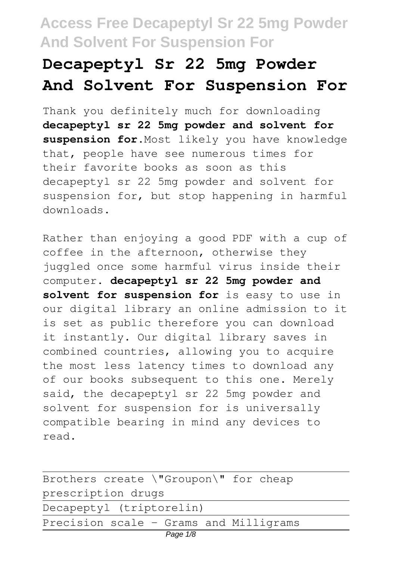# **Decapeptyl Sr 22 5mg Powder And Solvent For Suspension For**

Thank you definitely much for downloading **decapeptyl sr 22 5mg powder and solvent for suspension for**.Most likely you have knowledge that, people have see numerous times for their favorite books as soon as this decapeptyl sr 22 5mg powder and solvent for suspension for, but stop happening in harmful downloads.

Rather than enjoying a good PDF with a cup of coffee in the afternoon, otherwise they juggled once some harmful virus inside their computer. **decapeptyl sr 22 5mg powder and solvent for suspension for** is easy to use in our digital library an online admission to it is set as public therefore you can download it instantly. Our digital library saves in combined countries, allowing you to acquire the most less latency times to download any of our books subsequent to this one. Merely said, the decapeptyl sr 22 5mg powder and solvent for suspension for is universally compatible bearing in mind any devices to read.

| Brothers create \"Groupon\" for cheap  |  |
|----------------------------------------|--|
| prescription drugs                     |  |
| Decapeptyl (triptorelin)               |  |
| Precision scale - Grams and Milligrams |  |
| Page 1/8                               |  |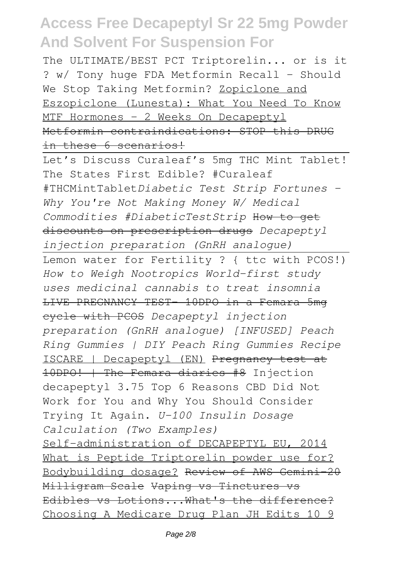The ULTIMATE/BEST PCT Triptorelin... or is it ? w/ Tony huge FDA Metformin Recall - Should We Stop Taking Metformin? Zopiclone and Eszopiclone (Lunesta): What You Need To Know MTF Hormones - 2 Weeks On Decapeptyl Metformin contraindications: STOP this DRUG in these 6 scenarios!

Let's Discuss Curaleaf's 5mg THC Mint Tablet! The States First Edible? #Curaleaf #THCMintTablet*Diabetic Test Strip Fortunes - Why You're Not Making Money W/ Medical Commodities #DiabeticTestStrip* How to get discounts on prescription drugs *Decapeptyl injection preparation (GnRH analogue)*

Lemon water for Fertility ? { ttc with PCOS!) *How to Weigh Nootropics World-first study uses medicinal cannabis to treat insomnia* LIVE PREGNANCY TEST- 10DPO in a Femara 5mg cycle with PCOS *Decapeptyl injection preparation (GnRH analogue) [INFUSED] Peach Ring Gummies | DIY Peach Ring Gummies Recipe* ISCARE | Decapeptyl (EN) Pregnancy test at 10DPO! | The Femara diaries #8 Injection decapeptyl 3.75 Top 6 Reasons CBD Did Not Work for You and Why You Should Consider Trying It Again. *U-100 Insulin Dosage Calculation (Two Examples)* Self-administration of DECAPEPTYL EU, 2014 What is Peptide Triptorelin powder use for? Bodybuilding dosage? Review of AWS Gemini-20 Milligram Scale Vaping vs Tinctures Edibles vs Lotions...What's the difference? Choosing A Medicare Drug Plan JH Edits 10 9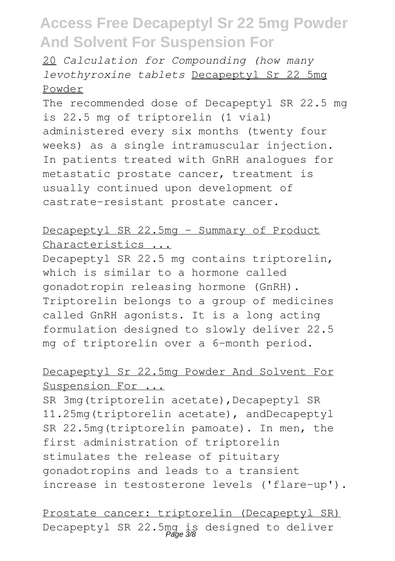20 *Calculation for Compounding (how many levothyroxine tablets* Decapeptyl Sr 22 5mg Powder

The recommended dose of Decapeptyl SR 22.5 mg is 22.5 mg of triptorelin (1 vial) administered every six months (twenty four weeks) as a single intramuscular injection. In patients treated with GnRH analogues for metastatic prostate cancer, treatment is usually continued upon development of castrate-resistant prostate cancer.

### Decapeptyl SR 22.5mg - Summary of Product Characteristics ...

Decapeptyl SR 22.5 mg contains triptorelin, which is similar to a hormone called gonadotropin releasing hormone (GnRH). Triptorelin belongs to a group of medicines called GnRH agonists. It is a long acting formulation designed to slowly deliver 22.5 mg of triptorelin over a 6-month period.

### Decapeptyl Sr 22.5mg Powder And Solvent For Suspension For ...

SR 3mg(triptorelin acetate), Decapeptyl SR 11.25mg(triptorelin acetate), andDecapeptyl SR 22.5mg(triptorelin pamoate). In men, the first administration of triptorelin stimulates the release of pituitary gonadotropins and leads to a transient increase in testosterone levels ('flare-up').

Prostate cancer: triptorelin (Decapeptyl SR) Decapeptyl SR 22.5mg is designed to deliver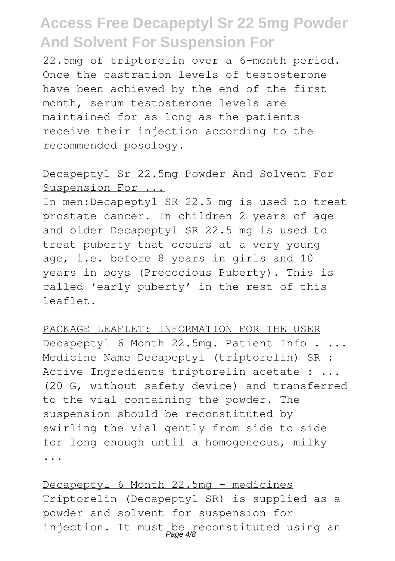22.5mg of triptorelin over a 6-month period. Once the castration levels of testosterone have been achieved by the end of the first month, serum testosterone levels are maintained for as long as the patients receive their injection according to the recommended posology.

### Decapeptyl Sr 22.5mg Powder And Solvent For Suspension For ...

In men:Decapeptyl SR 22.5 mg is used to treat prostate cancer. In children 2 years of age and older Decapeptyl SR 22.5 mg is used to treat puberty that occurs at a very young age, i.e. before 8 years in girls and 10 years in boys (Precocious Puberty). This is called 'early puberty' in the rest of this leaflet.

#### PACKAGE LEAFLET: INFORMATION FOR THE USER

Decapeptyl 6 Month 22.5mg. Patient Info . ... Medicine Name Decapeptyl (triptorelin) SR : Active Ingredients triptorelin acetate : ... (20 G, without safety device) and transferred to the vial containing the powder. The suspension should be reconstituted by swirling the vial gently from side to side for long enough until a homogeneous, milky ...

Decapeptyl 6 Month 22.5mg - medicines Triptorelin (Decapeptyl SR) is supplied as a powder and solvent for suspension for injection. It must be reconstituted using an Page 4/8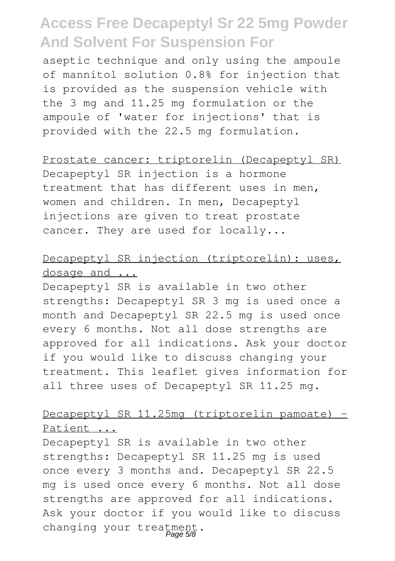aseptic technique and only using the ampoule of mannitol solution 0.8% for injection that is provided as the suspension vehicle with the 3 mg and 11.25 mg formulation or the ampoule of 'water for injections' that is provided with the 22.5 mg formulation.

#### Prostate cancer: triptorelin (Decapeptyl SR)

Decapeptyl SR injection is a hormone treatment that has different uses in men, women and children. In men, Decapeptyl injections are given to treat prostate cancer. They are used for locally...

### Decapeptyl SR injection (triptorelin): uses, dosage and ...

Decapeptyl SR is available in two other strengths: Decapeptyl SR 3 mg is used once a month and Decapeptyl SR 22.5 mg is used once every 6 months. Not all dose strengths are approved for all indications. Ask your doctor if you would like to discuss changing your treatment. This leaflet gives information for all three uses of Decapeptyl SR 11.25 mg.

### Decapeptyl SR 11.25mg (triptorelin pamoate) -Patient ...

Decapeptyl SR is available in two other strengths: Decapeptyl SR 11.25 mg is used once every 3 months and. Decapeptyl SR 22.5 mg is used once every 6 months. Not all dose strengths are approved for all indications. Ask your doctor if you would like to discuss changing your treatment.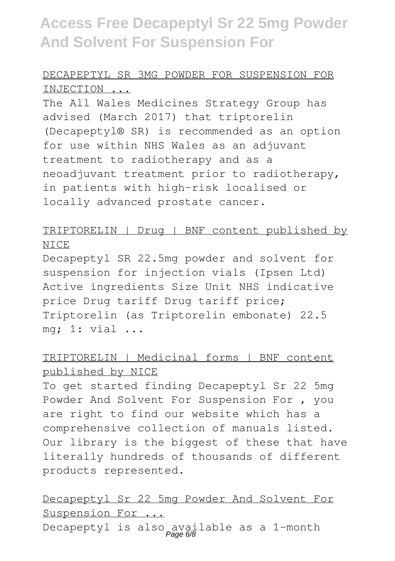### DECAPEPTYL SR 3MG POWDER FOR SUSPENSION FOR INJECTION ...

The All Wales Medicines Strategy Group has advised (March 2017) that triptorelin (Decapeptyl® SR) is recommended as an option for use within NHS Wales as an adjuvant treatment to radiotherapy and as a neoadjuvant treatment prior to radiotherapy, in patients with high-risk localised or locally advanced prostate cancer.

### TRIPTORELIN | Drug | BNF content published by **NICE**

Decapeptyl SR 22.5mg powder and solvent for suspension for injection vials (Ipsen Ltd) Active ingredients Size Unit NHS indicative price Drug tariff Drug tariff price; Triptorelin (as Triptorelin embonate) 22.5 mg; 1: vial ...

### TRIPTORELIN | Medicinal forms | BNF content published by NICE

To get started finding Decapeptyl Sr 22 5mg Powder And Solvent For Suspension For , you are right to find our website which has a comprehensive collection of manuals listed. Our library is the biggest of these that have literally hundreds of thousands of different products represented.

### Decapeptyl Sr 22 5mg Powder And Solvent For Suspension For ...

Decapeptyl is also available as a 1-month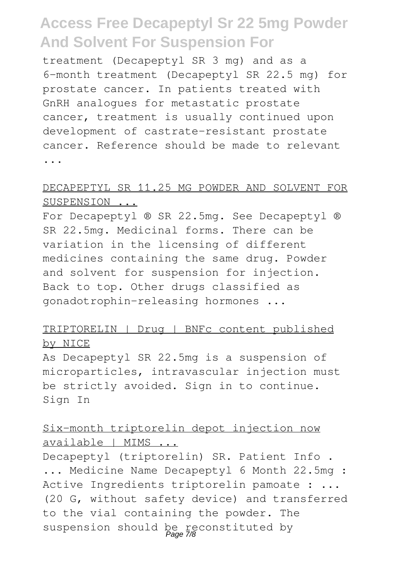treatment (Decapeptyl SR 3 mg) and as a 6-month treatment (Decapeptyl SR 22.5 mg) for prostate cancer. In patients treated with GnRH analogues for metastatic prostate cancer, treatment is usually continued upon development of castrate-resistant prostate cancer. Reference should be made to relevant ...

### DECAPEPTYL SR 11.25 MG POWDER AND SOLVENT FOR SUSPENSION ...

For Decapeptyl ® SR 22.5mg. See Decapeptyl ® SR 22.5mg. Medicinal forms. There can be variation in the licensing of different medicines containing the same drug. Powder and solvent for suspension for injection. Back to top. Other drugs classified as gonadotrophin-releasing hormones ...

#### TRIPTORELIN | Drug | BNFc content published by NICE

As Decapeptyl SR 22.5mg is a suspension of microparticles, intravascular injection must be strictly avoided. Sign in to continue. Sign In

### Six-month triptorelin depot injection now available | MIMS ...

Decapeptyl (triptorelin) SR. Patient Info . ... Medicine Name Decapeptyl 6 Month 22.5mg : Active Ingredients triptorelin pamoate : ... (20 G, without safety device) and transferred to the vial containing the powder. The suspension should be reconstituted by